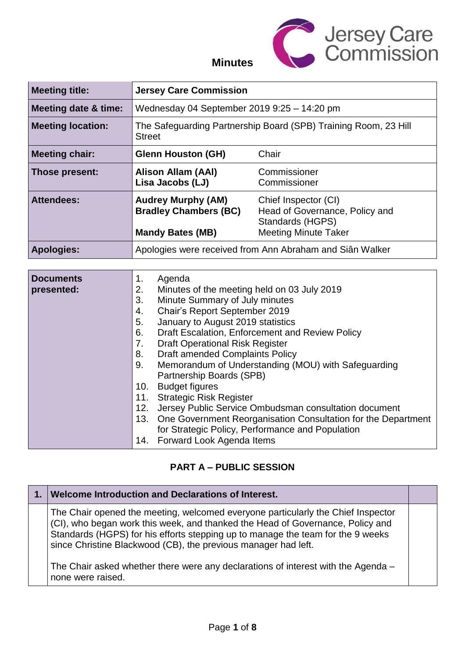

# **Minutes**

| <b>Meeting title:</b>           | <b>Jersey Care Commission</b>                                                        |                                                                                                           |
|---------------------------------|--------------------------------------------------------------------------------------|-----------------------------------------------------------------------------------------------------------|
| <b>Meeting date &amp; time:</b> | Wednesday 04 September 2019 9:25 - 14:20 pm                                          |                                                                                                           |
| <b>Meeting location:</b>        | <b>Street</b>                                                                        | The Safeguarding Partnership Board (SPB) Training Room, 23 Hill                                           |
| <b>Meeting chair:</b>           | <b>Glenn Houston (GH)</b>                                                            | Chair                                                                                                     |
| Those present:                  | <b>Alison Allam (AAI)</b><br>Lisa Jacobs (LJ)                                        | Commissioner<br>Commissioner                                                                              |
| <b>Attendees:</b>               | <b>Audrey Murphy (AM)</b><br><b>Bradley Chambers (BC)</b><br><b>Mandy Bates (MB)</b> | Chief Inspector (CI)<br>Head of Governance, Policy and<br>Standards (HGPS)<br><b>Meeting Minute Taker</b> |
| <b>Apologies:</b>               |                                                                                      | Apologies were received from Ann Abraham and Siân Walker                                                  |

| <b>Documents</b> | Agenda<br>1.                                                      |
|------------------|-------------------------------------------------------------------|
| presented:       | 2.<br>Minutes of the meeting held on 03 July 2019                 |
|                  |                                                                   |
|                  | Minute Summary of July minutes<br>3.                              |
|                  | Chair's Report September 2019<br>4.                               |
|                  | January to August 2019 statistics<br>5.                           |
|                  | 6.<br>Draft Escalation, Enforcement and Review Policy             |
|                  | <b>Draft Operational Risk Register</b><br>7.                      |
|                  | <b>Draft amended Complaints Policy</b><br>8.                      |
|                  | Memorandum of Understanding (MOU) with Safeguarding<br>9.         |
|                  | Partnership Boards (SPB)                                          |
|                  | <b>Budget figures</b><br>10.                                      |
|                  | <b>Strategic Risk Register</b><br>11.                             |
|                  | Jersey Public Service Ombudsman consultation document<br>12.      |
|                  | 13. One Government Reorganisation Consultation for the Department |
|                  | for Strategic Policy, Performance and Population                  |
|                  | Forward Look Agenda Items<br>14.                                  |

### **PART A – PUBLIC SESSION**

| Welcome Introduction and Declarations of Interest.                                                                                                                                                                                                                                                                      |  |
|-------------------------------------------------------------------------------------------------------------------------------------------------------------------------------------------------------------------------------------------------------------------------------------------------------------------------|--|
| The Chair opened the meeting, welcomed everyone particularly the Chief Inspector<br>(CI), who began work this week, and thanked the Head of Governance, Policy and<br>Standards (HGPS) for his efforts stepping up to manage the team for the 9 weeks<br>since Christine Blackwood (CB), the previous manager had left. |  |
| The Chair asked whether there were any declarations of interest with the Agenda –<br>none were raised.                                                                                                                                                                                                                  |  |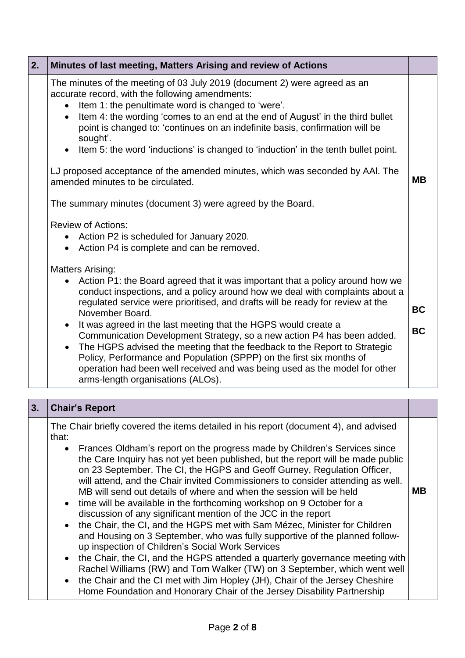| 2. | Minutes of last meeting, Matters Arising and review of Actions                                                                                                                                                                                                                                                                                                                                                                                                                                                                                                                                                                                                                                                                                                                                   |                        |
|----|--------------------------------------------------------------------------------------------------------------------------------------------------------------------------------------------------------------------------------------------------------------------------------------------------------------------------------------------------------------------------------------------------------------------------------------------------------------------------------------------------------------------------------------------------------------------------------------------------------------------------------------------------------------------------------------------------------------------------------------------------------------------------------------------------|------------------------|
|    | The minutes of the meeting of 03 July 2019 (document 2) were agreed as an<br>accurate record, with the following amendments:<br>Item 1: the penultimate word is changed to 'were'.<br>$\bullet$<br>Item 4: the wording 'comes to an end at the end of August' in the third bullet<br>$\bullet$<br>point is changed to: 'continues on an indefinite basis, confirmation will be<br>sought'.<br>• Item 5: the word 'inductions' is changed to 'induction' in the tenth bullet point.<br>LJ proposed acceptance of the amended minutes, which was seconded by AAI. The<br>amended minutes to be circulated.<br>The summary minutes (document 3) were agreed by the Board.<br><b>Review of Actions:</b><br>• Action P2 is scheduled for January 2020.<br>• Action P4 is complete and can be removed. | <b>MB</b>              |
|    | <b>Matters Arising:</b><br>• Action P1: the Board agreed that it was important that a policy around how we<br>conduct inspections, and a policy around how we deal with complaints about a<br>regulated service were prioritised, and drafts will be ready for review at the<br>November Board.<br>It was agreed in the last meeting that the HGPS would create a<br>$\bullet$<br>Communication Development Strategy, so a new action P4 has been added.<br>The HGPS advised the meeting that the feedback to the Report to Strategic<br>Policy, Performance and Population (SPPP) on the first six months of<br>operation had been well received and was being used as the model for other<br>arms-length organisations (ALOs).                                                                 | <b>BC</b><br><b>BC</b> |

| 3. | <b>Chair's Report</b>                                                                                                                                                                                                                                                                                                                                                                                                                                                                                                                                                                                                                                                                                                                                                                                                                                                                                                                                                                                                                                                                                                                                                                                                                                |     |
|----|------------------------------------------------------------------------------------------------------------------------------------------------------------------------------------------------------------------------------------------------------------------------------------------------------------------------------------------------------------------------------------------------------------------------------------------------------------------------------------------------------------------------------------------------------------------------------------------------------------------------------------------------------------------------------------------------------------------------------------------------------------------------------------------------------------------------------------------------------------------------------------------------------------------------------------------------------------------------------------------------------------------------------------------------------------------------------------------------------------------------------------------------------------------------------------------------------------------------------------------------------|-----|
|    | The Chair briefly covered the items detailed in his report (document 4), and advised<br>that:<br>Frances Oldham's report on the progress made by Children's Services since<br>$\bullet$<br>the Care Inquiry has not yet been published, but the report will be made public<br>on 23 September. The CI, the HGPS and Geoff Gurney, Regulation Officer,<br>will attend, and the Chair invited Commissioners to consider attending as well.<br>MB will send out details of where and when the session will be held<br>time will be available in the forthcoming workshop on 9 October for a<br>$\bullet$<br>discussion of any significant mention of the JCC in the report<br>the Chair, the CI, and the HGPS met with Sam Mézec, Minister for Children<br>$\bullet$<br>and Housing on 3 September, who was fully supportive of the planned follow-<br>up inspection of Children's Social Work Services<br>the Chair, the CI, and the HGPS attended a quarterly governance meeting with<br>$\bullet$<br>Rachel Williams (RW) and Tom Walker (TW) on 3 September, which went well<br>the Chair and the CI met with Jim Hopley (JH), Chair of the Jersey Cheshire<br>$\bullet$<br>Home Foundation and Honorary Chair of the Jersey Disability Partnership | MB. |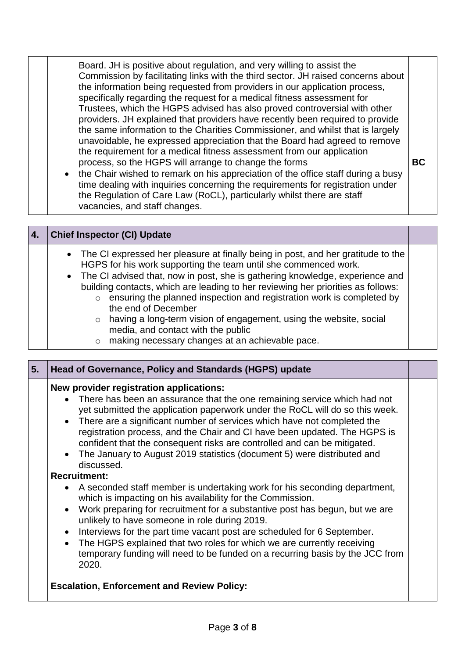| Board. JH is positive about regulation, and very willing to assist the<br>Commission by facilitating links with the third sector. JH raised concerns about<br>the information being requested from providers in our application process,                                                                                                                                                              |           |
|-------------------------------------------------------------------------------------------------------------------------------------------------------------------------------------------------------------------------------------------------------------------------------------------------------------------------------------------------------------------------------------------------------|-----------|
| specifically regarding the request for a medical fitness assessment for<br>Trustees, which the HGPS advised has also proved controversial with other<br>providers. JH explained that providers have recently been required to provide<br>the same information to the Charities Commissioner, and whilst that is largely<br>unavoidable, he expressed appreciation that the Board had agreed to remove |           |
| the requirement for a medical fitness assessment from our application<br>process, so the HGPS will arrange to change the forms<br>• the Chair wished to remark on his appreciation of the office staff during a busy                                                                                                                                                                                  | <b>BC</b> |

time dealing with inquiries concerning the requirements for registration under the Regulation of Care Law (RoCL), particularly whilst there are staff vacancies, and staff changes.

### **4. Chief Inspector (CI) Update**

- The CI expressed her pleasure at finally being in post, and her gratitude to the HGPS for his work supporting the team until she commenced work.
- The CI advised that, now in post, she is gathering knowledge, experience and building contacts, which are leading to her reviewing her priorities as follows:
	- o ensuring the planned inspection and registration work is completed by the end of December
	- o having a long-term vision of engagement, using the website, social media, and contact with the public
	- o making necessary changes at an achievable pace.

| $\bullet$<br>$\bullet$<br>$\bullet$ | New provider registration applications:<br>There has been an assurance that the one remaining service which had not<br>yet submitted the application paperwork under the RoCL will do so this week.<br>• There are a significant number of services which have not completed the<br>registration process, and the Chair and CI have been updated. The HGPS is<br>confident that the consequent risks are controlled and can be mitigated.<br>• The January to August 2019 statistics (document 5) were distributed and<br>discussed.<br><b>Recruitment:</b><br>• A seconded staff member is undertaking work for his seconding department,<br>which is impacting on his availability for the Commission.<br>Work preparing for recruitment for a substantive post has begun, but we are<br>unlikely to have someone in role during 2019.<br>Interviews for the part time vacant post are scheduled for 6 September.<br>The HGPS explained that two roles for which we are currently receiving<br>temporary funding will need to be funded on a recurring basis by the JCC from<br>2020. |
|-------------------------------------|-----------------------------------------------------------------------------------------------------------------------------------------------------------------------------------------------------------------------------------------------------------------------------------------------------------------------------------------------------------------------------------------------------------------------------------------------------------------------------------------------------------------------------------------------------------------------------------------------------------------------------------------------------------------------------------------------------------------------------------------------------------------------------------------------------------------------------------------------------------------------------------------------------------------------------------------------------------------------------------------------------------------------------------------------------------------------------------------|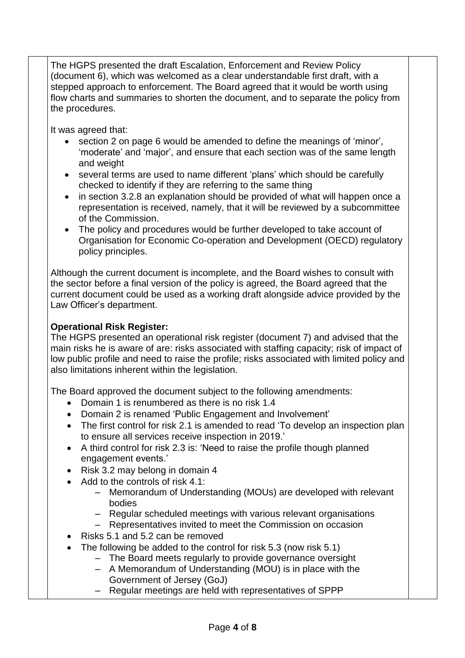The HGPS presented the draft Escalation, Enforcement and Review Policy (document 6), which was welcomed as a clear understandable first draft, with a stepped approach to enforcement. The Board agreed that it would be worth using flow charts and summaries to shorten the document, and to separate the policy from the procedures.

It was agreed that:

- section 2 on page 6 would be amended to define the meanings of 'minor', 'moderate' and 'major', and ensure that each section was of the same length and weight
- several terms are used to name different 'plans' which should be carefully checked to identify if they are referring to the same thing
- in section 3.2.8 an explanation should be provided of what will happen once a representation is received, namely, that it will be reviewed by a subcommittee of the Commission.
- The policy and procedures would be further developed to take account of Organisation for Economic Co-operation and Development (OECD) regulatory policy principles.

Although the current document is incomplete, and the Board wishes to consult with the sector before a final version of the policy is agreed, the Board agreed that the current document could be used as a working draft alongside advice provided by the Law Officer's department.

### **Operational Risk Register:**

The HGPS presented an operational risk register (document 7) and advised that the main risks he is aware of are: risks associated with staffing capacity; risk of impact of low public profile and need to raise the profile; risks associated with limited policy and also limitations inherent within the legislation.

The Board approved the document subject to the following amendments:

- Domain 1 is renumbered as there is no risk 1.4
- Domain 2 is renamed 'Public Engagement and Involvement'
- The first control for risk 2.1 is amended to read 'To develop an inspection plan to ensure all services receive inspection in 2019.'
- A third control for risk 2.3 is: 'Need to raise the profile though planned engagement events.'
- Risk 3.2 may belong in domain 4
- Add to the controls of risk 4.1:
	- ‒ Memorandum of Understanding (MOUs) are developed with relevant bodies
	- ‒ Regular scheduled meetings with various relevant organisations
	- ‒ Representatives invited to meet the Commission on occasion
- Risks 5.1 and 5.2 can be removed
- The following be added to the control for risk 5.3 (now risk 5.1)
	- ‒ The Board meets regularly to provide governance oversight
		- ‒ A Memorandum of Understanding (MOU) is in place with the Government of Jersey (GoJ)
		- ‒ Regular meetings are held with representatives of SPPP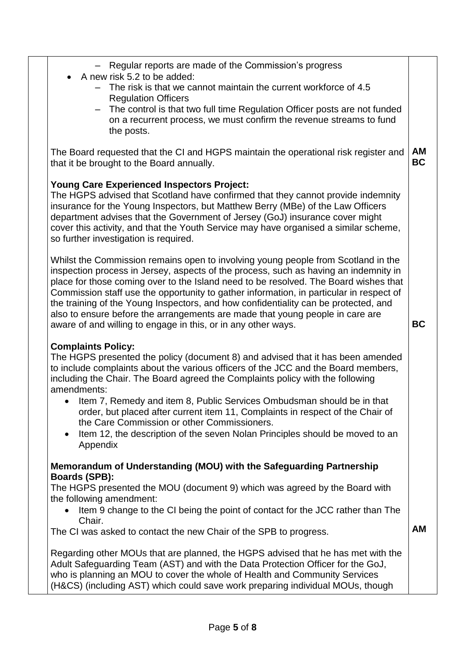| Regular reports are made of the Commission's progress<br>$\qquad \qquad -$<br>• A new risk 5.2 to be added:                                                                                                                                                                                                                                                                                                                                                                                                                                                                                                |                 |
|------------------------------------------------------------------------------------------------------------------------------------------------------------------------------------------------------------------------------------------------------------------------------------------------------------------------------------------------------------------------------------------------------------------------------------------------------------------------------------------------------------------------------------------------------------------------------------------------------------|-----------------|
| The risk is that we cannot maintain the current workforce of 4.5<br><b>Regulation Officers</b>                                                                                                                                                                                                                                                                                                                                                                                                                                                                                                             |                 |
| The control is that two full time Regulation Officer posts are not funded<br>on a recurrent process, we must confirm the revenue streams to fund<br>the posts.                                                                                                                                                                                                                                                                                                                                                                                                                                             |                 |
| The Board requested that the CI and HGPS maintain the operational risk register and<br>that it be brought to the Board annually.                                                                                                                                                                                                                                                                                                                                                                                                                                                                           | AM<br><b>BC</b> |
| Young Care Experienced Inspectors Project:<br>The HGPS advised that Scotland have confirmed that they cannot provide indemnity<br>insurance for the Young Inspectors, but Matthew Berry (MBe) of the Law Officers<br>department advises that the Government of Jersey (GoJ) insurance cover might<br>cover this activity, and that the Youth Service may have organised a similar scheme,<br>so further investigation is required.                                                                                                                                                                         |                 |
| Whilst the Commission remains open to involving young people from Scotland in the<br>inspection process in Jersey, aspects of the process, such as having an indemnity in<br>place for those coming over to the Island need to be resolved. The Board wishes that<br>Commission staff use the opportunity to gather information, in particular in respect of<br>the training of the Young Inspectors, and how confidentiality can be protected, and<br>also to ensure before the arrangements are made that young people in care are<br>aware of and willing to engage in this, or in any other ways.      | <b>BC</b>       |
| <b>Complaints Policy:</b><br>The HGPS presented the policy (document 8) and advised that it has been amended<br>to include complaints about the various officers of the JCC and the Board members,<br>including the Chair. The Board agreed the Complaints policy with the following<br>amendments:<br>Item 7, Remedy and item 8, Public Services Ombudsman should be in that<br>order, but placed after current item 11, Complaints in respect of the Chair of<br>the Care Commission or other Commissioners.<br>Item 12, the description of the seven Nolan Principles should be moved to an<br>Appendix |                 |
| Memorandum of Understanding (MOU) with the Safeguarding Partnership                                                                                                                                                                                                                                                                                                                                                                                                                                                                                                                                        |                 |
| <b>Boards (SPB):</b><br>The HGPS presented the MOU (document 9) which was agreed by the Board with                                                                                                                                                                                                                                                                                                                                                                                                                                                                                                         |                 |
| the following amendment:<br>Item 9 change to the CI being the point of contact for the JCC rather than The<br>Chair.                                                                                                                                                                                                                                                                                                                                                                                                                                                                                       |                 |
| The CI was asked to contact the new Chair of the SPB to progress.                                                                                                                                                                                                                                                                                                                                                                                                                                                                                                                                          | <b>AM</b>       |
| Regarding other MOUs that are planned, the HGPS advised that he has met with the<br>Adult Safeguarding Team (AST) and with the Data Protection Officer for the GoJ,<br>who is planning an MOU to cover the whole of Health and Community Services<br>(H&CS) (including AST) which could save work preparing individual MOUs, though                                                                                                                                                                                                                                                                        |                 |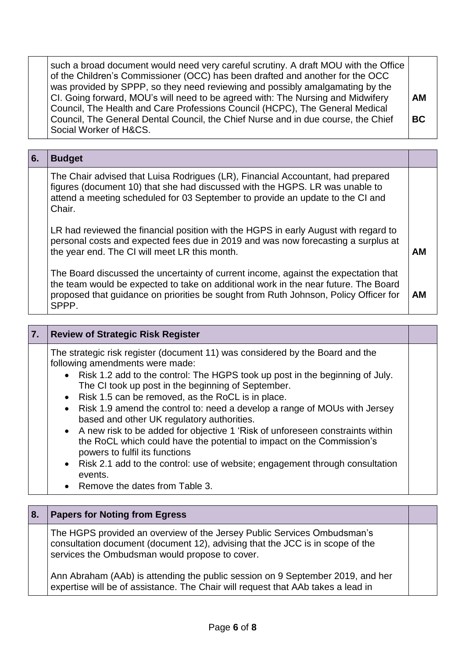| such a broad document would need very careful scrutiny. A draft MOU with the Office<br>of the Children's Commissioner (OCC) has been drafted and another for the OCC |           |
|----------------------------------------------------------------------------------------------------------------------------------------------------------------------|-----------|
| was provided by SPPP, so they need reviewing and possibly amalgamating by the                                                                                        |           |
| CI. Going forward, MOU's will need to be agreed with: The Nursing and Midwifery                                                                                      | <b>AM</b> |
| Council, The Health and Care Professions Council (HCPC), The General Medical                                                                                         |           |
| Council, The General Dental Council, the Chief Nurse and in due course, the Chief                                                                                    | <b>BC</b> |
| Social Worker of H&CS.                                                                                                                                               |           |

| 6. | <b>Budget</b>                                                                                                                                                                                                                                                               |           |
|----|-----------------------------------------------------------------------------------------------------------------------------------------------------------------------------------------------------------------------------------------------------------------------------|-----------|
|    | The Chair advised that Luisa Rodrigues (LR), Financial Accountant, had prepared<br>figures (document 10) that she had discussed with the HGPS. LR was unable to<br>attend a meeting scheduled for 03 September to provide an update to the CI and<br>Chair.                 |           |
|    | LR had reviewed the financial position with the HGPS in early August with regard to<br>personal costs and expected fees due in 2019 and was now forecasting a surplus at<br>the year end. The CI will meet LR this month.                                                   | АM        |
|    | The Board discussed the uncertainty of current income, against the expectation that<br>the team would be expected to take on additional work in the near future. The Board<br>proposed that guidance on priorities be sought from Ruth Johnson, Policy Officer for<br>SPPP. | <b>AM</b> |

| 7.7 | <b>Review of Strategic Risk Register</b>                                                                                                                                                                                                                                                                                                                                                                                                                                                                                                                                                                                                                                                                                                                                   |  |
|-----|----------------------------------------------------------------------------------------------------------------------------------------------------------------------------------------------------------------------------------------------------------------------------------------------------------------------------------------------------------------------------------------------------------------------------------------------------------------------------------------------------------------------------------------------------------------------------------------------------------------------------------------------------------------------------------------------------------------------------------------------------------------------------|--|
|     | The strategic risk register (document 11) was considered by the Board and the<br>following amendments were made:<br>• Risk 1.2 add to the control: The HGPS took up post in the beginning of July.<br>The CI took up post in the beginning of September.<br>• Risk 1.5 can be removed, as the RoCL is in place.<br>• Risk 1.9 amend the control to: need a develop a range of MOUs with Jersey<br>based and other UK regulatory authorities.<br>• A new risk to be added for objective 1 'Risk of unforeseen constraints within<br>the RoCL which could have the potential to impact on the Commission's<br>powers to fulfil its functions.<br>• Risk 2.1 add to the control: use of website; engagement through consultation<br>events.<br>Remove the dates from Table 3. |  |

## **8. Papers for Noting from Egress**

The HGPS provided an overview of the Jersey Public Services Ombudsman's consultation document (document 12), advising that the JCC is in scope of the services the Ombudsman would propose to cover.

Ann Abraham (AAb) is attending the public session on 9 September 2019, and her expertise will be of assistance. The Chair will request that AAb takes a lead in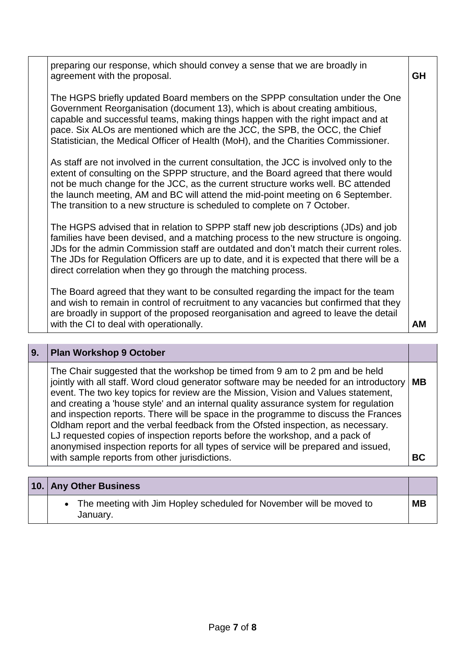| preparing our response, which should convey a sense that we are broadly in<br>agreement with the proposal.                                                                                                                                                                                                                                                                                                                     | <b>GH</b> |
|--------------------------------------------------------------------------------------------------------------------------------------------------------------------------------------------------------------------------------------------------------------------------------------------------------------------------------------------------------------------------------------------------------------------------------|-----------|
| The HGPS briefly updated Board members on the SPPP consultation under the One<br>Government Reorganisation (document 13), which is about creating ambitious,<br>capable and successful teams, making things happen with the right impact and at<br>pace. Six ALOs are mentioned which are the JCC, the SPB, the OCC, the Chief<br>Statistician, the Medical Officer of Health (MoH), and the Charities Commissioner.           |           |
| As staff are not involved in the current consultation, the JCC is involved only to the<br>extent of consulting on the SPPP structure, and the Board agreed that there would<br>not be much change for the JCC, as the current structure works well. BC attended<br>the launch meeting, AM and BC will attend the mid-point meeting on 6 September.<br>The transition to a new structure is scheduled to complete on 7 October. |           |
| The HGPS advised that in relation to SPPP staff new job descriptions (JDs) and job<br>families have been devised, and a matching process to the new structure is ongoing.<br>JDs for the admin Commission staff are outdated and don't match their current roles.<br>The JDs for Regulation Officers are up to date, and it is expected that there will be a<br>direct correlation when they go through the matching process.  |           |
| The Board agreed that they want to be consulted regarding the impact for the team<br>and wish to remain in control of recruitment to any vacancies but confirmed that they<br>are broadly in support of the proposed reorganisation and agreed to leave the detail<br>with the CI to deal with operationally.                                                                                                                  | АM        |

| 9. | <b>Plan Workshop 9 October</b>                                                                                                                                                                                                                                                                                                                                                                                                                                                                                                                                                                                                                                                                                                                               |           |
|----|--------------------------------------------------------------------------------------------------------------------------------------------------------------------------------------------------------------------------------------------------------------------------------------------------------------------------------------------------------------------------------------------------------------------------------------------------------------------------------------------------------------------------------------------------------------------------------------------------------------------------------------------------------------------------------------------------------------------------------------------------------------|-----------|
|    | The Chair suggested that the workshop be timed from 9 am to 2 pm and be held<br>jointly with all staff. Word cloud generator software may be needed for an introductory   MB<br>event. The two key topics for review are the Mission, Vision and Values statement,<br>and creating a 'house style' and an internal quality assurance system for regulation<br>and inspection reports. There will be space in the programme to discuss the Frances<br>Oldham report and the verbal feedback from the Ofsted inspection, as necessary.<br>LJ requested copies of inspection reports before the workshop, and a pack of<br>anonymised inspection reports for all types of service will be prepared and issued,<br>with sample reports from other jurisdictions. | <b>BC</b> |

| 10. Any Other Business                                                          |           |
|---------------------------------------------------------------------------------|-----------|
| The meeting with Jim Hopley scheduled for November will be moved to<br>January. | <b>MB</b> |